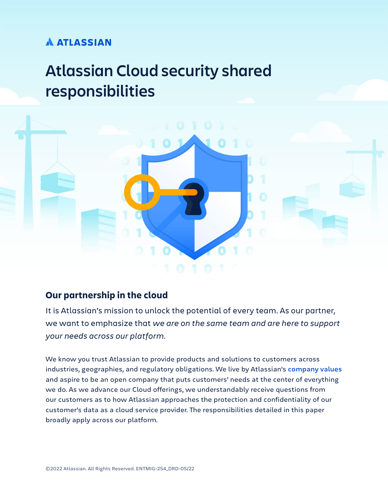## **A ATLASSIAN**

# **Atlassian Cloud security shared responsibilities**



### **Our partnership in the cloud**

It is Atlassian's mission to unlock the potential of every team. As our partner, we want to emphasize that *we are on the same team and are here to support your needs across our platform*.

We know you trust Atlassian to provide products and solutions to customers across industries, geographies, and regulatory obligations. We live by Atlassian's **[company values](https://www.atlassian.com/company/values)** and aspire to be an open company that puts customers' needs at the center of everything we do. As we advance our Cloud offerings, we understandably receive questions from our customers as to how Atlassian approaches the protection and confidentiality of our customer's data as a cloud service provider. The responsibilities detailed in this paper broadly apply across our platform.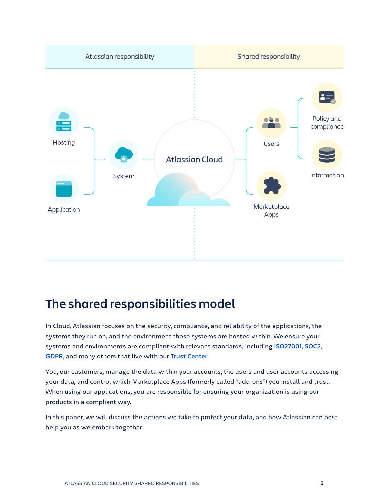

## **The shared responsibilities model**

In Cloud, Atlassian focuses on the security, compliance, and reliability of the applications, the systems they run on, and the environment those systems are hosted within. We ensure your systems and environments are compliant with relevant standards, including **[ISO27001](https://www.atlassian.com/trust/compliance/resources/iso27001)**, **[SOC2](https://www.atlassian.com/trust/compliance/resources/soc2)**, **[GDPR](https://www.atlassian.com/trust/compliance/resources/gdpr)**, and many others that live with our **[Trust Center](https://www.atlassian.com/trust/compliance)**.

You, our customers, manage the data within your accounts, the users and user accounts accessing your data, and control which Marketplace Apps (formerly called "add-ons") you install and trust. When using our applications, you are responsible for ensuring your organization is using our products in a compliant way.

In this paper, we will discuss the actions we take to protect your data, and how Atlassian can best help you as we embark together.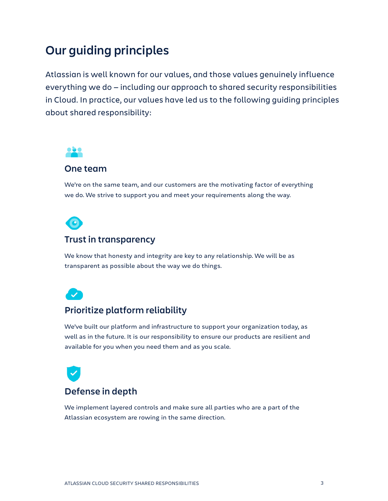## **Our guiding principles**

Atlassian is well known for our values, and those values genuinely influence everything we do — including our approach to shared security responsibilities in Cloud. In practice, our values have led us to the following guiding principles about shared responsibility:



### **One team**

We're on the same team, and our customers are the motivating factor of everything we do. We strive to support you and meet your requirements along the way.



### **Trust in transparency**

We know that honesty and integrity are key to any relationship. We will be as transparent as possible about the way we do things.



### **Prioritize platform reliability**

We've built our platform and infrastructure to support your organization today, as well as in the future. It is our responsibility to ensure our products are resilient and available for you when you need them and as you scale.



We implement layered controls and make sure all parties who are a part of the Atlassian ecosystem are rowing in the same direction.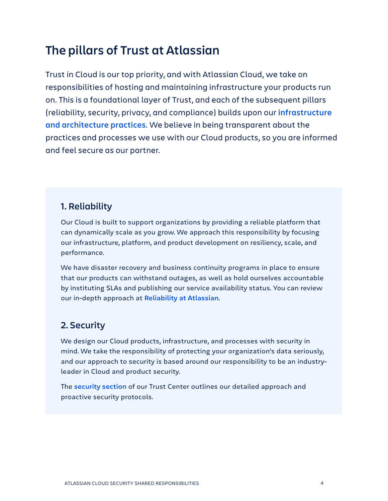## **The pillars of Trust at Atlassian**

Trust in Cloud is our top priority, and with Atlassian Cloud, we take on responsibilities of hosting and maintaining infrastructure your products run on. This is a foundational layer of Trust, and each of the subsequent pillars (reliability, security, privacy, and compliance) builds upon our **[infrastructure](https://www.atlassian.com/trust/reliability/cloud-architecture-and-operational-practices)  [and architecture practices](https://www.atlassian.com/trust/reliability/cloud-architecture-and-operational-practices)**. We believe in being transparent about the practices and processes we use with our Cloud products, so you are informed and feel secure as our partner.

## **1. Reliability**

Our Cloud is built to support organizations by providing a reliable platform that can dynamically scale as you grow. We approach this responsibility by focusing our infrastructure, platform, and product development on resiliency, scale, and performance.

We have disaster recovery and business continuity programs in place to ensure that our products can withstand outages, as well as hold ourselves accountable by instituting SLAs and publishing our service availability status. You can review our in-depth approach at **[Reliability at Atlassian](https://www.atlassian.com/trust/reliability)**.

## **2. Security**

We design our Cloud products, infrastructure, and processes with security in mind. We take the responsibility of protecting your organization's data seriously, and our approach to security is based around our responsibility to be an industryleader in Cloud and product security.

The **[security section](https://www.atlassian.com/trust/security)** of our Trust Center outlines our detailed approach and proactive security protocols.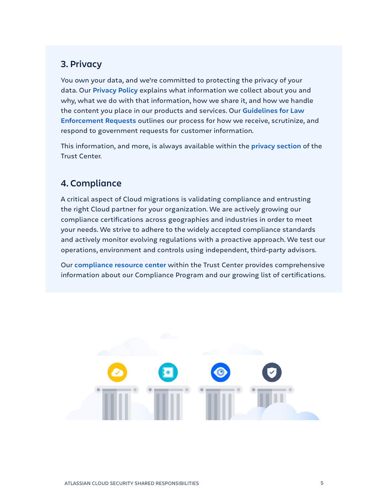### **3. Privacy**

You own your data, and we're committed to protecting the privacy of your data. Our **[Privacy Policy](https://www.atlassian.com/legal/privacy-policy)** explains what information we collect about you and why, what we do with that information, how we share it, and how we handle the content you place in our products and services. Our **[Guidelines for Law](https://www.atlassian.com/trust/privacy/guidelines-for-law-enforcement)  [Enforcement Requests](https://www.atlassian.com/trust/privacy/guidelines-for-law-enforcement)** outlines our process for how we receive, scrutinize, and respond to government requests for customer information.

This information, and more, is always available within the **[privacy section](https://www.atlassian.com/trust/privacy)** of the Trust Center.

### **4. Compliance**

A critical aspect of Cloud migrations is validating compliance and entrusting the right Cloud partner for your organization. We are actively growing our compliance certifications across geographies and industries in order to meet your needs. We strive to adhere to the widely accepted compliance standards and actively monitor evolving regulations with a proactive approach. We test our operations, environment and controls using independent, third-party advisors.

Our **[compliance resource center](https://www.atlassian.com/trust/compliance/resources)** within the Trust Center provides comprehensive information about our Compliance Program and our growing list of certifications.

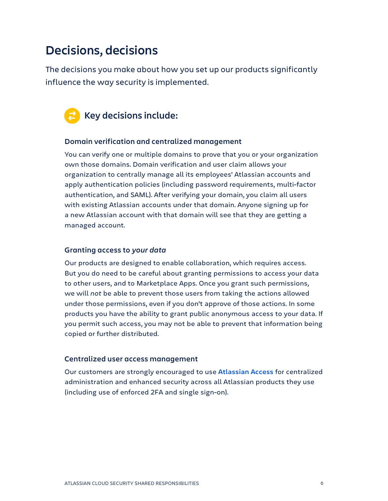## **Decisions, decisions**

The decisions you make about how you set up our products significantly influence the way security is implemented.



### **Key decisions include:**

#### **Domain verification and centralized management**

You can verify one or multiple domains to prove that you or your organization own those domains. Domain verification and user claim allows your organization to centrally manage all its employees' Atlassian accounts and apply authentication policies (including password requirements, multi-factor authentication, and SAML). After verifying your domain, you claim all users with existing Atlassian accounts under that domain. Anyone signing up for a new Atlassian account with that domain will see that they are getting a managed account.

#### **Granting access to** *your data*

Our products are designed to enable collaboration, which requires access. But you do need to be careful about granting permissions to access your data to other users, and to Marketplace Apps. Once you grant such permissions, we will *not* be able to prevent those users from taking the actions allowed under those permissions, even if you don't approve of those actions. In some products you have the ability to grant public anonymous access to your data. If you permit such access, you may not be able to prevent that information being copied or further distributed.

#### **Centralized user access management**

Our customers are strongly encouraged to use **[Atlassian Access](https://www.atlassian.com/software/access)** for centralized administration and enhanced security across all Atlassian products they use (including use of enforced 2FA and single sign-on).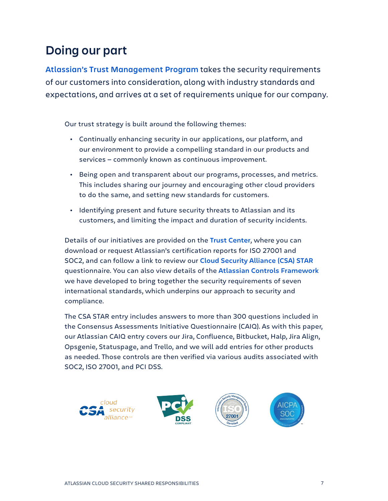## **Doing our part**

**[Atlassian's Trust Management Program](https://www.atlassian.com/trust/security/security-management-program)** takes the security requirements of our customers into consideration, along with industry standards and expectations, and arrives at a set of requirements unique for our company.

Our trust strategy is built around the following themes:

- · Continually enhancing security in our applications, our platform, and our environment to provide a compelling standard in our products and services — commonly known as continuous improvement.
- · Being open and transparent about our programs, processes, and metrics. This includes sharing our journey and encouraging other cloud providers to do the same, and setting new standards for customers.
- · Identifying present and future security threats to Atlassian and its customers, and limiting the impact and duration of security incidents.

Details of our initiatives are provided on the **[Trust Center](https://www.atlassian.com/trust)**, where you can download or request Atlassian's certification reports for ISO 27001 and SOC2, and can follow a link to review our **[Cloud Security Alliance \(CSA\) STAR](https://cloudsecurityalliance.org/star/registry/atlassian/)** questionnaire. You can also view details of the **[Atlassian Controls Framework](https://www.atlassian.com/trust/compliance/common-controls-framework)** we have developed to bring together the security requirements of seven international standards, which underpins our approach to security and compliance.

The CSA STAR entry includes answers to more than 300 questions included in the Consensus Assessments Initiative Questionnaire (CAIQ). As with this paper, our Atlassian CAIQ entry covers our Jira, Confluence, Bitbucket, Halp, Jira Align, Opsgenie, Statuspage, and Trello, and we will add entries for other products as needed. Those controls are then verified via various audits associated with SOC2, ISO 27001, and PCI DSS.

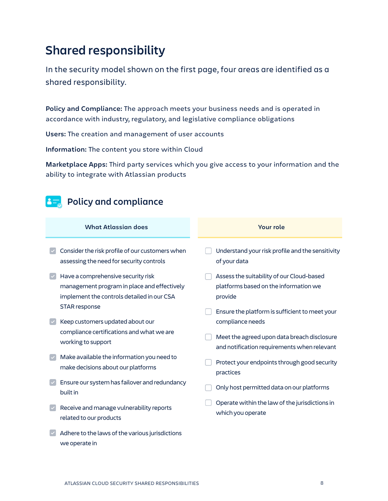## **Shared responsibility**

In the security model shown on the first page, four areas are identified as a shared responsibility.

**Policy and Compliance:** The approach meets your business needs and is operated in accordance with industry, regulatory, and legislative compliance obligations

**Users:** The creation and management of user accounts

**Information:** The content you store within Cloud

**Marketplace Apps:** Third party services which you give access to your information and the ability to integrate with Atlassian products

## **Policy and compliance**

| <b>What Atlassian does</b> |                                                                                                                                 | <b>Your role</b> |  |                                                                                               |
|----------------------------|---------------------------------------------------------------------------------------------------------------------------------|------------------|--|-----------------------------------------------------------------------------------------------|
| $\checkmark$               | Consider the risk profile of our customers when<br>assessing the need for security controls                                     |                  |  | Understand your risk profile and the sensitivity<br>of your data                              |
| $\blacktriangledown$       | Have a comprehensive security risk<br>management program in place and effectively<br>implement the controls detailed in our CSA |                  |  | Assess the suitability of our Cloud-based<br>platforms based on the information we<br>provide |
| $\blacktriangledown$       | STAR response<br>Keep customers updated about our                                                                               |                  |  | Ensure the platform is sufficient to meet your<br>compliance needs                            |
|                            | compliance certifications and what we are<br>working to support                                                                 |                  |  | Meet the agreed upon data breach disclosure<br>and notification requirements when relevant    |
| $\overline{\mathcal{L}}$   | Make available the information you need to<br>make decisions about our platforms                                                |                  |  | Protect your endpoints through good security<br>practices                                     |
| $\blacktriangledown$       | Ensure our system has failover and redundancy<br>built in                                                                       |                  |  | Only host permitted data on our platforms                                                     |
| $\blacktriangledown$       | Receive and manage vulnerability reports<br>related to our products                                                             |                  |  | Operate within the law of the jurisdictions in<br>which you operate                           |
|                            | Adhere to the laws of the various jurisdictions                                                                                 |                  |  |                                                                                               |

we operate in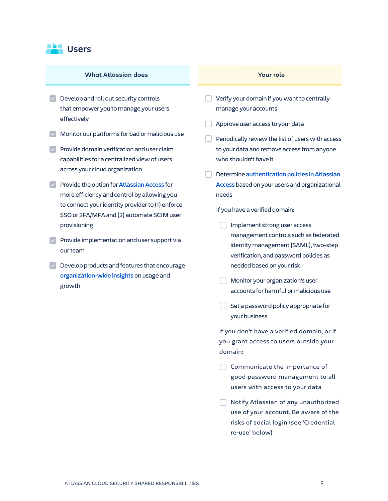

#### **What Atlassian does Your role**

- $\triangledown$  Develop and roll out security controls that empower you to manage your users effectively
- $\vee$  Monitor our platforms for bad or malicious use
- $\triangledown$  Provide domain verification and user claim capabilities for a centralized view of users across your cloud organization
- · Provide the option for **[Atlassian Access](https://www.atlassian.com/software/access)** for more efficiency and control by allowing you to connect your identity provider to (1) enforce SSO or 2FA/MFA and (2) automate SCIM user provisioning
- $\triangledown$  Provide implementation and user support via our team
- $\triangledown$  Develop products and features that encourage **[organization-wide insights](https://www.atlassian.com/software/access/guide/organization-insights)** on usage and growth

- · Verify your domain if you want to centrally manage your accounts
- · Approve user access to your data
- $\Box$  Periodically review the list of users with access to your data and remove access from anyone who shouldn't have it
- · Determine **[authentication policies in Atlassian](https://www.atlassian.com/software/access/guide/authentication-policies)  [Access](https://www.atlassian.com/software/access/guide/authentication-policies)** based on your users and organizational needs

If you have a verified domain:

- Implement strong user access management controls such as federated identity management (SAML), two-step verification, and password policies as needed based on your risk
- **In Monitor your organization's user** accounts for harmful or malicious use
- $\Box$  Set a password policy appropriate for your business

If you don't have a verified domain, or if you grant access to users outside your domain:

- $\Box$  Communicate the importance of good password management to all users with access to your data
- **Notify Atlassian of any unauthorized** use of your account. Be aware of the risks of social login (see 'Credential re-use' below)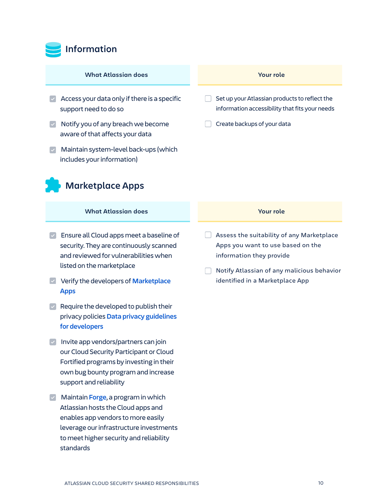

#### **What Atlassian does**

- $\vee$  Access your data only if there is a specific support need to do so
- $\vee$  Notify you of any breach we become aware of that affects your data
- $\vee$  Maintain system-level back-ups (which includes your information)

## **Marketplace Apps**

#### **What Atlassian does**

- $\triangleright$  Ensure all Cloud apps meet a baseline of security. They are continuously scanned and reviewed for vulnerabilities when listed on the marketplace
- · Verify the developers of **[Marketplace](https://www.atlassian.com/trust/marketplace)  [Apps](https://www.atlassian.com/trust/marketplace)**
- $\triangleright$  Require the developed to publish their privacy policies **[Data privacy guidelines](https://developer.atlassian.com/platform/marketplace/data-privacy-guidelines/)  [for developers](https://developer.atlassian.com/platform/marketplace/data-privacy-guidelines/)**
- $\blacksquare$  Invite app vendors/partners can join our Cloud Security Participant or Cloud Fortified programs by investing in their own bug bounty program and increase support and reliability
- · Maintain **[Forge](https://developer.atlassian.com/platform/forge/)**, a program in which Atlassian hosts the Cloud apps and enables app vendors to more easily leverage our infrastructure investments to meet higher security and reliability standards

#### **Your role**

- $\Box$  Set up your Atlassian products to reflect the information accessibility that fits your needs
- · Create backups of your data

#### **Your role**

- $\Box$  Assess the suitability of any Marketplace Apps you want to use based on the information they provide
- $\Box$  Notify Atlassian of any malicious behavior identified in a Marketplace App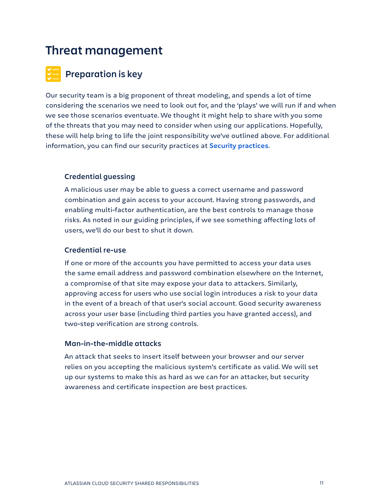## **Threat management**

## **Preparation is key**

Our security team is a big proponent of threat modeling, and spends a lot of time considering the scenarios we need to look out for, and the 'plays' we will run if and when we see those scenarios eventuate. We thought it might help to share with you some of the threats that you may need to consider when using our applications. Hopefully, these will help bring to life the joint responsibility we've outlined above. For additional information, you can find our security practices at **[Security practices](https://www.atlassian.com/trust/security/security-practices#how-we-identify-protect-response-to-security-threats)**.

### **Credential guessing**

A malicious user may be able to guess a correct username and password combination and gain access to your account. Having strong passwords, and enabling multi-factor authentication, are the best controls to manage those risks. As noted in our guiding principles, if we see something affecting lots of users, we'll do our best to shut it down.

#### **Credential re-use**

If one or more of the accounts you have permitted to access your data uses the same email address and password combination elsewhere on the Internet, a compromise of that site may expose your data to attackers. Similarly, approving access for users who use social login introduces a risk to your data in the event of a breach of that user's social account. Good security awareness across your user base (including third parties you have granted access), and two-step verification are strong controls.

### **Man-in-the-middle attacks**

An attack that seeks to insert itself between your browser and our server relies on you accepting the malicious system's certificate as valid. We will set up our systems to make this as hard as we can for an attacker, but security awareness and certificate inspection are best practices.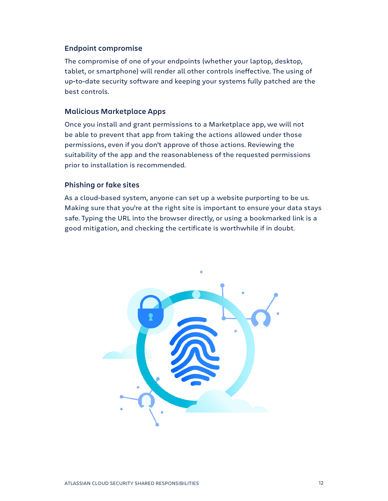#### **Endpoint compromise**

The compromise of one of your endpoints (whether your laptop, desktop, tablet, or smartphone) will render all other controls ineffective. The using of up-to-date security software and keeping your systems fully patched are the best controls.

#### **Malicious Marketplace Apps**

Once you install and grant permissions to a Marketplace app, we will not be able to prevent that app from taking the actions allowed under those permissions, even if you don't approve of those actions. Reviewing the suitability of the app and the reasonableness of the requested permissions prior to installation is recommended.

#### **Phishing or fake sites**

As a cloud-based system, anyone can set up a website purporting to be us. Making sure that you're at the right site is important to ensure your data stays safe. Typing the URL into the browser directly, or using a bookmarked link is a good mitigation, and checking the certificate is worthwhile if in doubt.